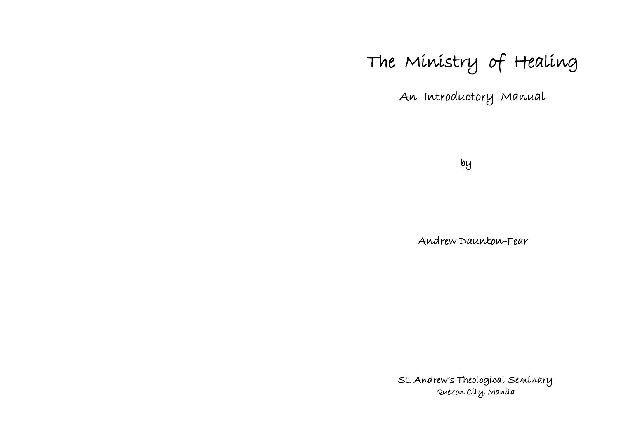# The Ministry of Healing

An Introductory Manual

by

Andrew Daunton-Fear

 St. Andrew's Theological Seminary Quezon City, Manila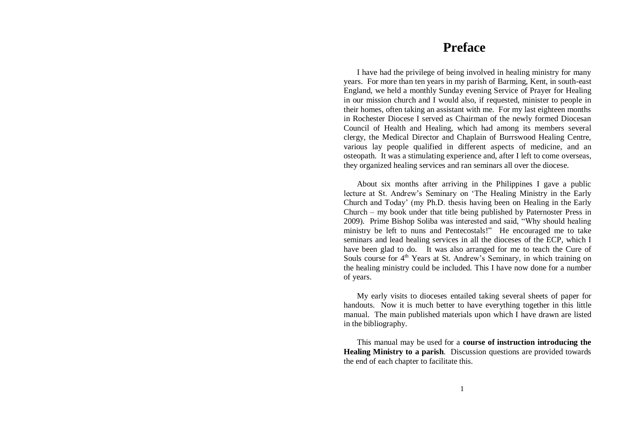# **Preface**

I have had the privilege of being involved in healing ministry for many years. For more than ten years in my parish of Barming, Kent, in south-east England, we held a monthly Sunday evening Service of Prayer for Healing in our mission church and I would also, if requested, minister to people in their homes, often taking an assistant with me. For my last eighteen months in Rochester Diocese I served as Chairman of the newly formed Diocesan Council of Health and Healing, which had among its members several clergy, the Medical Director and Chaplain of Burrswood Healing Centre, various lay people qualified in different aspects of medicine, and an osteopath. It was a stimulating experience and, after I left to come overseas, they organized healing services and ran seminars all over the diocese.

About six months after arriving in the Philippines I gave a public lecture at St. Andrew"s Seminary on "The Healing Ministry in the Early Church and Today" (my Ph.D. thesis having been on Healing in the Early Church – my book under that title being published by Paternoster Press in 2009). Prime Bishop Soliba was interested and said, "Why should healing ministry be left to nuns and Pentecostals!" He encouraged me to take seminars and lead healing services in all the dioceses of the ECP, which I have been glad to do. It was also arranged for me to teach the Cure of Souls course for  $4<sup>th</sup>$  Years at St. Andrew's Seminary, in which training on the healing ministry could be included. This I have now done for a number of years.

My early visits to dioceses entailed taking several sheets of paper for handouts. Now it is much better to have everything together in this little manual. The main published materials upon which I have drawn are listed in the bibliography.

This manual may be used for a **course of instruction introducing the Healing Ministry to a parish**. Discussion questions are provided towards the end of each chapter to facilitate this.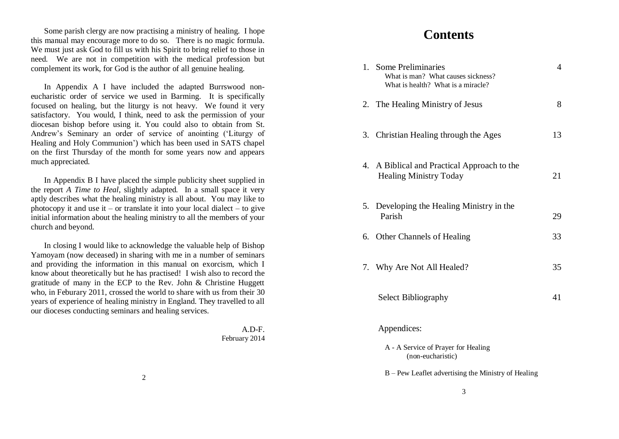Some parish clergy are now practising a ministry of healing. I hope this manual may encourage more to do so. There is no magic formula. We must just ask God to fill us with his Spirit to bring relief to those in need. We are not in competition with the medical profession but complement its work, for God is the author of all genuine healing.

In Appendix A I have included the adapted Burrswood noneucharistic order of service we used in Barming. It is specifically focused on healing, but the liturgy is not heavy. We found it very satisfactory. You would, I think, need to ask the permission of your diocesan bishop before using it. You could also to obtain from St. Andrew"s Seminary an order of service of anointing ("Liturgy of Healing and Holy Communion") which has been used in SATS chapel on the first Thursday of the month for some years now and appears much appreciated.

In Appendix B I have placed the simple publicity sheet supplied in the report *A Time to Heal*, slightly adapted*.* In a small space it very aptly describes what the healing ministry is all about. You may like to photocopy it and use it – or translate it into your local dialect – to give initial information about the healing ministry to all the members of your church and beyond.

In closing I would like to acknowledge the valuable help of Bishop Yamoyam (now deceased) in sharing with me in a number of seminars and providing the information in this manual on exorcism, which I know about theoretically but he has practised! I wish also to record the gratitude of many in the ECP to the Rev. John & Christine Huggett who, in Feburary 2011, crossed the world to share with us from their 30 years of experience of healing ministry in England. They travelled to all our dioceses conducting seminars and healing services.

> A.D-F. February 2014

| 1. Some Preliminaries<br>What is man? What causes sickness?<br>What is health? What is a miracle? | $\overline{4}$ |
|---------------------------------------------------------------------------------------------------|----------------|
| 2. The Healing Ministry of Jesus                                                                  | 8              |
| 3. Christian Healing through the Ages                                                             | 13             |
| 4. A Biblical and Practical Approach to the<br><b>Healing Ministry Today</b>                      | 21             |
| 5.<br>Developing the Healing Ministry in the<br>Parish                                            | 29             |
| 6. Other Channels of Healing                                                                      | 33             |
| 7. Why Are Not All Healed?                                                                        | 35             |
| Select Bibliography                                                                               | 41             |
| Appendices:                                                                                       |                |
| A - A Service of Prayer for Healing<br>(non-eucharistic)                                          |                |
| B – Pew Leaflet advertising the Ministry of Healing                                               |                |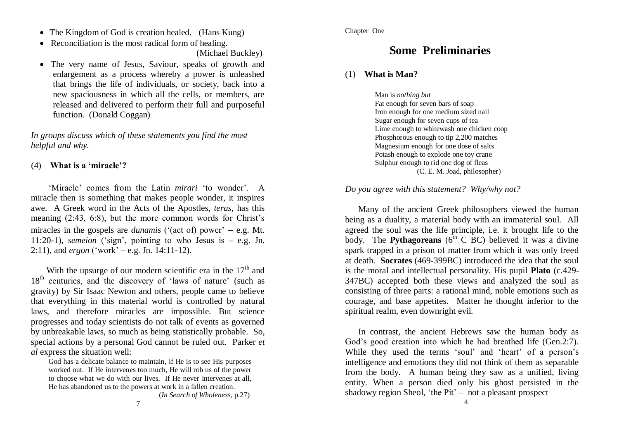- The Kingdom of God is creation healed. (Hans Kung)
- Reconciliation is the most radical form of healing. (Michael Buckley)
- The very name of Jesus, Saviour, speaks of growth and enlargement as a process whereby a power is unleashed that brings the life of individuals, or society, back into a new spaciousness in which all the cells, or members, are released and delivered to perform their full and purposeful function. (Donald Coggan)

*In groups discuss which of these statements you find the most helpful and why.*

#### (4) **What is a 'miracle'?**

 "Miracle" comes from the Latin *mirari* "to wonder". A miracle then is something that makes people wonder, it inspires awe. A Greek word in the Acts of the Apostles, *teras,* has this meaning (2:43, 6:8), but the more common words for Christ"s miracles in the gospels are *dunamis* ('(act of) power'  $-$  e.g. Mt. 11:20-1), *semeion* ('sign', pointing to who Jesus is  $-$  e.g. Jn. 2:11), and *ergon*  $({}^{\prime}$ work' – e.g. Jn. 14:11-12).

With the upsurge of our modern scientific era in the  $17<sup>th</sup>$  and  $18<sup>th</sup>$  centuries, and the discovery of 'laws of nature' (such as gravity) by Sir Isaac Newton and others, people came to believe that everything in this material world is controlled by natural laws, and therefore miracles are impossible. But science progresses and today scientists do not talk of events as governed by unbreakable laws, so much as being statistically probable. So, special actions by a personal God cannot be ruled out. Parker *et al* express the situation well:

God has a delicate balance to maintain, if He is to see His purposes worked out. If He intervenes too much, He will rob us of the power to choose what we do with our lives. If He never intervenes at all, He has abandoned us to the powers at work in a fallen creation.

(*In Search of Wholeness*, p.27)

# **Some Preliminaries**

#### (1) **What is Man?**

 Man is *nothing but* Fat enough for seven bars of soap Iron enough for one medium sized nail Sugar enough for seven cups of tea Lime enough to whitewash one chicken coop Phosphorous enough to tip 2,200 matches Magnesium enough for one dose of salts Potash enough to explode one toy crane Sulphur enough to rid one dog of fleas (C. E. M. Joad, philosopher)

#### *Do you agree with this statement? Why/why not?*

Many of the ancient Greek philosophers viewed the human being as a duality, a material body with an immaterial soul. All agreed the soul was the life principle, i.e. it brought life to the body. The **Pythagoreans** ( $6<sup>th</sup>$  C BC) believed it was a divine spark trapped in a prison of matter from which it was only freed at death. **Socrates** (469-399BC) introduced the idea that the soul is the moral and intellectual personality. His pupil **Plato** (c.429- 347BC) accepted both these views and analyzed the soul as consisting of three parts: a rational mind, noble emotions such as courage, and base appetites. Matter he thought inferior to the spiritual realm, even downright evil.

In contrast, the ancient Hebrews saw the human body as God's good creation into which he had breathed life (Gen.2:7). While they used the terms 'soul' and 'heart' of a person's intelligence and emotions they did not think of them as separable from the body. A human being they saw as a unified, living entity. When a person died only his ghost persisted in the shadowy region Sheol, 'the Pit'  $-$  not a pleasant prospect 4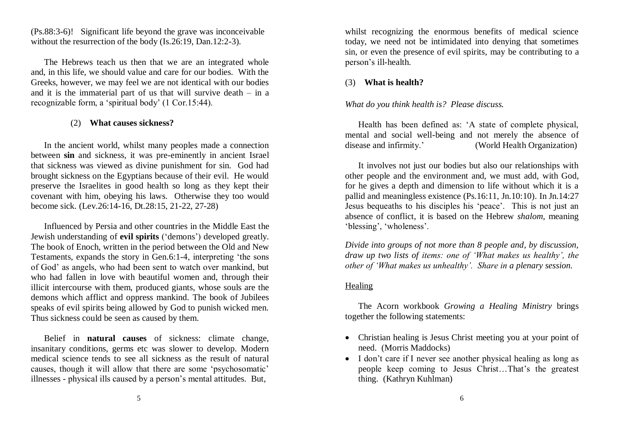(Ps.88:3-6)! Significant life beyond the grave was inconceivable without the resurrection of the body (Is.26:19, Dan.12:2-3).

The Hebrews teach us then that we are an integrated whole and, in this life, we should value and care for our bodies. With the Greeks, however, we may feel we are not identical with our bodies and it is the immaterial part of us that will survive death – in a recognizable form, a "spiritual body" (1 Cor.15:44).

#### (2) **What causes sickness?**

In the ancient world, whilst many peoples made a connection between **sin** and sickness, it was pre-eminently in ancient Israel that sickness was viewed as divine punishment for sin. God had brought sickness on the Egyptians because of their evil. He would preserve the Israelites in good health so long as they kept their covenant with him, obeying his laws. Otherwise they too would become sick. (Lev.26:14-16, Dt.28:15, 21-22, 27-28)

Influenced by Persia and other countries in the Middle East the Jewish understanding of **evil spirits** ("demons") developed greatly. The book of Enoch, written in the period between the Old and New Testaments, expands the story in Gen.6:1-4, interpreting "the sons of God" as angels, who had been sent to watch over mankind, but who had fallen in love with beautiful women and, through their illicit intercourse with them, produced giants, whose souls are the demons which afflict and oppress mankind. The book of Jubilees speaks of evil spirits being allowed by God to punish wicked men. Thus sickness could be seen as caused by them.

Belief in **natural causes** of sickness: climate change, insanitary conditions, germs etc was slower to develop. Modern medical science tends to see all sickness as the result of natural causes, though it will allow that there are some "psychosomatic" illnesses - physical ills caused by a person"s mental attitudes. But,

whilst recognizing the enormous benefits of medical science today, we need not be intimidated into denying that sometimes sin, or even the presence of evil spirits, may be contributing to a person"s ill-health.

#### (3) **What is health?**

#### *What do you think health is? Please discuss.*

Health has been defined as: "A state of complete physical, mental and social well-being and not merely the absence of disease and infirmity." (World Health Organization)

It involves not just our bodies but also our relationships with other people and the environment and, we must add, with God, for he gives a depth and dimension to life without which it is a pallid and meaningless existence (Ps.16:11, Jn.10:10). In Jn.14:27 Jesus bequeaths to his disciples his "peace". This is not just an absence of conflict, it is based on the Hebrew *shalom,* meaning 'blessing', 'wholeness'.

*Divide into groups of not more than 8 people and, by discussion, draw up two lists of items: one of 'What makes us healthy', the other of 'What makes us unhealthy'. Share in a plenary session.*

#### Healing

The Acorn workbook *Growing a Healing Ministry* brings together the following statements:

- Christian healing is Jesus Christ meeting you at your point of need. (Morris Maddocks)
- I don"t care if I never see another physical healing as long as people keep coming to Jesus Christ...That's the greatest thing. (Kathryn Kuhlman)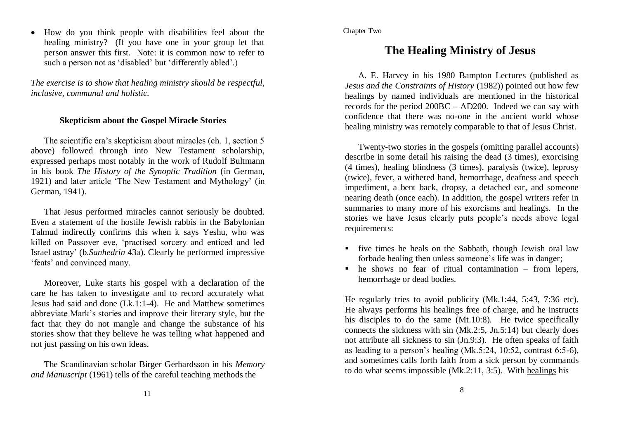How do you think people with disabilities feel about the healing ministry? (If you have one in your group let that person answer this first. Note: it is common now to refer to such a person not as 'disabled' but 'differently abled'.)

*The exercise is to show that healing ministry should be respectful, inclusive, communal and holistic.*

#### **Skepticism about the Gospel Miracle Stories**

The scientific era"s skepticism about miracles (ch. 1, section 5 above) followed through into New Testament scholarship, expressed perhaps most notably in the work of Rudolf Bultmann in his book *The History of the Synoptic Tradition* (in German, 1921) and later article "The New Testament and Mythology" (in German, 1941).

That Jesus performed miracles cannot seriously be doubted. Even a statement of the hostile Jewish rabbis in the Babylonian Talmud indirectly confirms this when it says Yeshu, who was killed on Passover eve, "practised sorcery and enticed and led Israel astray" (b.*Sanhedrin* 43a). Clearly he performed impressive 'feats' and convinced many.

Moreover, Luke starts his gospel with a declaration of the care he has taken to investigate and to record accurately what Jesus had said and done (Lk.1:1-4). He and Matthew sometimes abbreviate Mark"s stories and improve their literary style, but the fact that they do not mangle and change the substance of his stories show that they believe he was telling what happened and not just passing on his own ideas.

The Scandinavian scholar Birger Gerhardsson in his *Memory and Manuscript* (1961) tells of the careful teaching methods the

#### Chapter Two

# **The Healing Ministry of Jesus**

A. E. Harvey in his 1980 Bampton Lectures (published as *Jesus and the Constraints of History* (1982)) pointed out how few healings by named individuals are mentioned in the historical records for the period 200BC – AD200. Indeed we can say with confidence that there was no-one in the ancient world whose healing ministry was remotely comparable to that of Jesus Christ.

Twenty-two stories in the gospels (omitting parallel accounts) describe in some detail his raising the dead (3 times), exorcising (4 times), healing blindness (3 times), paralysis (twice), leprosy (twice), fever, a withered hand, hemorrhage, deafness and speech impediment, a bent back, dropsy, a detached ear, and someone nearing death (once each). In addition, the gospel writers refer in summaries to many more of his exorcisms and healings. In the stories we have Jesus clearly puts people"s needs above legal requirements:

- five times he heals on the Sabbath, though Jewish oral law forbade healing then unless someone's life was in danger;
- $\blacksquare$  he shows no fear of ritual contamination from lepers, hemorrhage or dead bodies.

He regularly tries to avoid publicity (Mk.1:44, 5:43, 7:36 etc). He always performs his healings free of charge, and he instructs his disciples to do the same (Mt.10:8). He twice specifically connects the sickness with sin (Mk.2:5, Jn.5:14) but clearly does not attribute all sickness to sin (Jn.9:3). He often speaks of faith as leading to a person"s healing (Mk.5:24, 10:52, contrast 6:5-6), and sometimes calls forth faith from a sick person by commands to do what seems impossible (Mk.2:11, 3:5). With healings his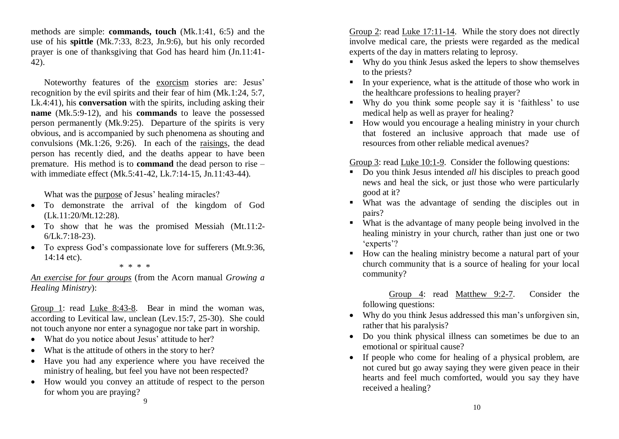methods are simple: **commands, touch** (Mk.1:41, 6:5) and the use of his **spittle** (Mk.7:33, 8:23, Jn.9:6), but his only recorded prayer is one of thanksgiving that God has heard him (Jn.11:41- 42).

Noteworthy features of the exorcism stories are: Jesus" recognition by the evil spirits and their fear of him (Mk.1:24, 5:7, Lk.4:41), his **conversation** with the spirits, including asking their **name** (Mk.5:9-12), and his **commands** to leave the possessed person permanently (Mk.9:25). Departure of the spirits is very obvious, and is accompanied by such phenomena as shouting and convulsions (Mk.1:26, 9:26). In each of the raisings, the dead person has recently died, and the deaths appear to have been premature. His method is to **command** the dead person to rise – with immediate effect (Mk.5:41-42, Lk.7:14-15, Jn.11:43-44).

What was the purpose of Jesus' healing miracles?

- To demonstrate the arrival of the kingdom of God (Lk.11:20/Mt.12:28).
- To show that he was the promised Messiah (Mt.11:2- 6/Lk.7:18-23).
- To express God's compassionate love for sufferers (Mt.9:36, 14:14 etc).
	- \* \* \* \*

*An exercise for four groups* (from the Acorn manual *Growing a Healing Ministry*):

Group 1: read Luke 8:43-8. Bear in mind the woman was, according to Levitical law, unclean (Lev.15:7, 25-30). She could not touch anyone nor enter a synagogue nor take part in worship.

- What do you notice about Jesus' attitude to her?
- What is the attitude of others in the story to her?
- Have you had any experience where you have received the ministry of healing, but feel you have not been respected?
- How would you convey an attitude of respect to the person for whom you are praying? 9

Group 2: read Luke 17:11-14. While the story does not directly involve medical care, the priests were regarded as the medical experts of the day in matters relating to leprosy.

- Why do you think Jesus asked the lepers to show themselves to the priests?
- In your experience, what is the attitude of those who work in the healthcare professions to healing prayer?
- Why do you think some people say it is "faithless" to use medical help as well as prayer for healing?
- How would you encourage a healing ministry in your church that fostered an inclusive approach that made use of resources from other reliable medical avenues?

Group 3: read Luke 10:1-9. Consider the following questions:

- Do you think Jesus intended *all* his disciples to preach good news and heal the sick, or just those who were particularly good at it?
- What was the advantage of sending the disciples out in pairs?
- What is the advantage of many people being involved in the healing ministry in your church, rather than just one or two 'experts'?
- How can the healing ministry become a natural part of your church community that is a source of healing for your local community?

 Group 4: read Matthew 9:2-7. Consider the following questions:

- Why do you think Jesus addressed this man's unforgiven sin, rather that his paralysis?
- Do you think physical illness can sometimes be due to an emotional or spiritual cause?
- If people who come for healing of a physical problem, are not cured but go away saying they were given peace in their hearts and feel much comforted, would you say they have received a healing?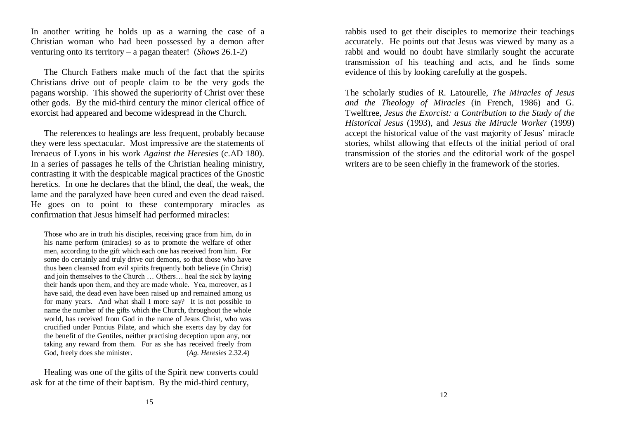In another writing he holds up as a warning the case of a Christian woman who had been possessed by a demon after venturing onto its territory – a pagan theater! (*Shows* 26.1-2)

The Church Fathers make much of the fact that the spirits Christians drive out of people claim to be the very gods the pagans worship. This showed the superiority of Christ over these other gods. By the mid-third century the minor clerical office of exorcist had appeared and become widespread in the Church.

The references to healings are less frequent, probably because they were less spectacular. Most impressive are the statements of Irenaeus of Lyons in his work *Against the Heresies* (c.AD 180). In a series of passages he tells of the Christian healing ministry, contrasting it with the despicable magical practices of the Gnostic heretics. In one he declares that the blind, the deaf, the weak, the lame and the paralyzed have been cured and even the dead raised. He goes on to point to these contemporary miracles as confirmation that Jesus himself had performed miracles:

Those who are in truth his disciples, receiving grace from him, do in his name perform (miracles) so as to promote the welfare of other men, according to the gift which each one has received from him. For some do certainly and truly drive out demons, so that those who have thus been cleansed from evil spirits frequently both believe (in Christ) and join themselves to the Church … Others… heal the sick by laying their hands upon them, and they are made whole. Yea, moreover, as I have said, the dead even have been raised up and remained among us for many years. And what shall I more say? It is not possible to name the number of the gifts which the Church, throughout the whole world, has received from God in the name of Jesus Christ, who was crucified under Pontius Pilate, and which she exerts day by day for the benefit of the Gentiles, neither practising deception upon any, nor taking any reward from them. For as she has received freely from God, freely does she minister. (*Ag. Heresies* 2.32.4)

Healing was one of the gifts of the Spirit new converts could ask for at the time of their baptism. By the mid-third century,

rabbis used to get their disciples to memorize their teachings accurately. He points out that Jesus was viewed by many as a rabbi and would no doubt have similarly sought the accurate transmission of his teaching and acts, and he finds some evidence of this by looking carefully at the gospels.

The scholarly studies of R. Latourelle, *The Miracles of Jesus and the Theology of Miracles* (in French, 1986) and G. Twelftree, *Jesus the Exorcist: a Contribution to the Study of the Historical Jesus* (1993), and *Jesus the Miracle Worker* (1999) accept the historical value of the vast majority of Jesus' miracle stories, whilst allowing that effects of the initial period of oral transmission of the stories and the editorial work of the gospel writers are to be seen chiefly in the framework of the stories.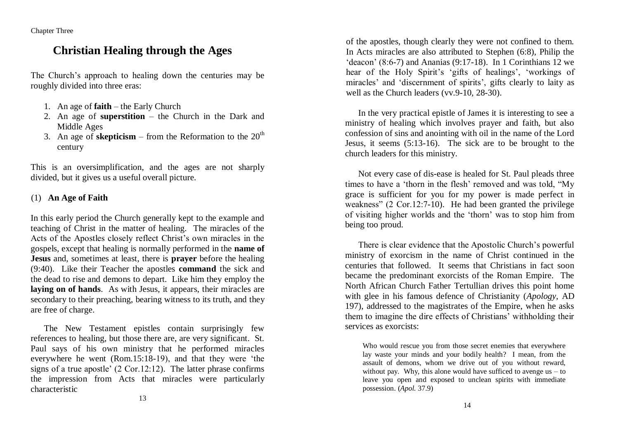Chapter Three

# **Christian Healing through the Ages**

The Church"s approach to healing down the centuries may be roughly divided into three eras:

- 1. An age of **faith** the Early Church
- 2. An age of **superstition** the Church in the Dark and Middle Ages
- 3. An age of **skepticism** from the Reformation to the  $20<sup>th</sup>$ century

This is an oversimplification, and the ages are not sharply divided, but it gives us a useful overall picture.

#### (1) **An Age of Faith**

In this early period the Church generally kept to the example and teaching of Christ in the matter of healing. The miracles of the Acts of the Apostles closely reflect Christ"s own miracles in the gospels, except that healing is normally performed in the **name of Jesus** and, sometimes at least, there is **prayer** before the healing (9:40). Like their Teacher the apostles **command** the sick and the dead to rise and demons to depart. Like him they employ the **laying on of hands**. As with Jesus, it appears, their miracles are secondary to their preaching, bearing witness to its truth, and they are free of charge.

The New Testament epistles contain surprisingly few references to healing, but those there are, are very significant. St. Paul says of his own ministry that he performed miracles everywhere he went (Rom.15:18-19), and that they were "the signs of a true apostle" (2 Cor.12:12). The latter phrase confirms the impression from Acts that miracles were particularly characteristic

of the apostles, though clearly they were not confined to them. In Acts miracles are also attributed to Stephen (6:8), Philip the 'deacon'  $(8:6-7)$  and Ananias  $(9:17-18)$ . In 1 Corinthians 12 we hear of the Holy Spirit's 'gifts of healings', 'workings of miracles' and 'discernment of spirits', gifts clearly to laity as well as the Church leaders (vv.9-10, 28-30).

In the very practical epistle of James it is interesting to see a ministry of healing which involves prayer and faith, but also confession of sins and anointing with oil in the name of the Lord Jesus, it seems (5:13-16). The sick are to be brought to the church leaders for this ministry.

Not every case of dis-ease is healed for St. Paul pleads three times to have a "thorn in the flesh" removed and was told, "My grace is sufficient for you for my power is made perfect in weakness" (2 Cor.12:7-10). He had been granted the privilege of visiting higher worlds and the "thorn" was to stop him from being too proud.

There is clear evidence that the Apostolic Church"s powerful ministry of exorcism in the name of Christ continued in the centuries that followed. It seems that Christians in fact soon became the predominant exorcists of the Roman Empire. The North African Church Father Tertullian drives this point home with glee in his famous defence of Christianity (*Apology*, AD 197), addressed to the magistrates of the Empire, when he asks them to imagine the dire effects of Christians" withholding their services as exorcists:

Who would rescue you from those secret enemies that everywhere lay waste your minds and your bodily health? I mean, from the assault of demons, whom we drive out of you without reward, without pay. Why, this alone would have sufficed to avenge  $us - to$ leave you open and exposed to unclean spirits with immediate possession. (*Apol.* 37.9)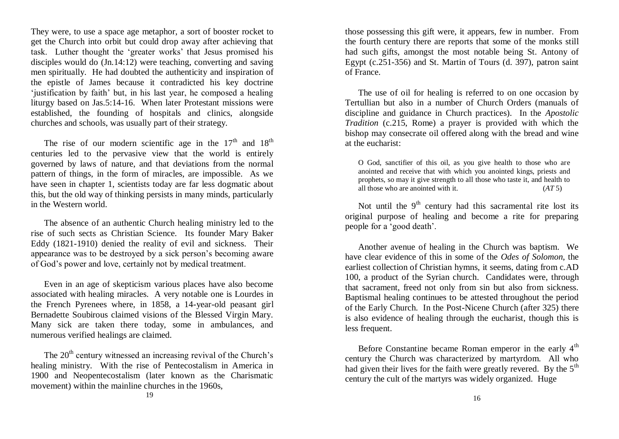They were, to use a space age metaphor, a sort of booster rocket to get the Church into orbit but could drop away after achieving that task. Luther thought the "greater works" that Jesus promised his disciples would do (Jn.14:12) were teaching, converting and saving men spiritually. He had doubted the authenticity and inspiration of the epistle of James because it contradicted his key doctrine "justification by faith" but, in his last year, he composed a healing liturgy based on Jas.5:14-16. When later Protestant missions were established, the founding of hospitals and clinics, alongside churches and schools, was usually part of their strategy.

The rise of our modern scientific age in the  $17<sup>th</sup>$  and  $18<sup>th</sup>$ centuries led to the pervasive view that the world is entirely governed by laws of nature, and that deviations from the normal pattern of things, in the form of miracles, are impossible. As we have seen in chapter 1, scientists today are far less dogmatic about this, but the old way of thinking persists in many minds, particularly in the Western world.

The absence of an authentic Church healing ministry led to the rise of such sects as Christian Science. Its founder Mary Baker Eddy (1821-1910) denied the reality of evil and sickness. Their appearance was to be destroyed by a sick person"s becoming aware of God"s power and love, certainly not by medical treatment.

Even in an age of skepticism various places have also become associated with healing miracles. A very notable one is Lourdes in the French Pyrenees where, in 1858, a 14-year-old peasant girl Bernadette Soubirous claimed visions of the Blessed Virgin Mary. Many sick are taken there today, some in ambulances, and numerous verified healings are claimed.

The  $20<sup>th</sup>$  century witnessed an increasing revival of the Church's healing ministry. With the rise of Pentecostalism in America in 1900 and Neopentecostalism (later known as the Charismatic movement) within the mainline churches in the 1960s, 19

those possessing this gift were, it appears, few in number. From the fourth century there are reports that some of the monks still had such gifts, amongst the most notable being St. Antony of Egypt (c.251-356) and St. Martin of Tours (d. 397), patron saint of France.

The use of oil for healing is referred to on one occasion by Tertullian but also in a number of Church Orders (manuals of discipline and guidance in Church practices). In the *Apostolic Tradition* (c.215, Rome) a prayer is provided with which the bishop may consecrate oil offered along with the bread and wine at the eucharist:

O God, sanctifier of this oil, as you give health to those who are anointed and receive that with which you anointed kings, priests and prophets, so may it give strength to all those who taste it, and health to all those who are anointed with it. (*AT* 5)

Not until the  $9<sup>th</sup>$  century had this sacramental rite lost its original purpose of healing and become a rite for preparing people for a "good death".

Another avenue of healing in the Church was baptism. We have clear evidence of this in some of the *Odes of Solomon*, the earliest collection of Christian hymns, it seems, dating from c.AD 100, a product of the Syrian church. Candidates were, through that sacrament, freed not only from sin but also from sickness. Baptismal healing continues to be attested throughout the period of the Early Church. In the Post-Nicene Church (after 325) there is also evidence of healing through the eucharist, though this is less frequent.

Before Constantine became Roman emperor in the early  $4<sup>th</sup>$ century the Church was characterized by martyrdom. All who had given their lives for the faith were greatly revered. By the  $5<sup>th</sup>$ century the cult of the martyrs was widely organized. Huge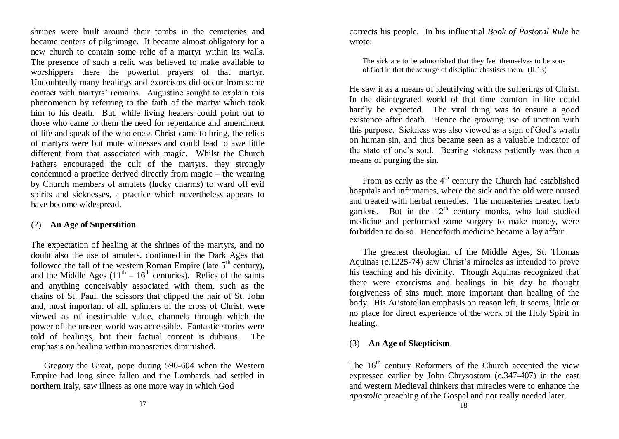shrines were built around their tombs in the cemeteries and became centers of pilgrimage. It became almost obligatory for a new church to contain some relic of a martyr within its walls. The presence of such a relic was believed to make available to worshippers there the powerful prayers of that martyr. Undoubtedly many healings and exorcisms did occur from some contact with martyrs' remains. Augustine sought to explain this phenomenon by referring to the faith of the martyr which took him to his death. But, while living healers could point out to those who came to them the need for repentance and amendment of life and speak of the wholeness Christ came to bring, the relics of martyrs were but mute witnesses and could lead to awe little different from that associated with magic. Whilst the Church Fathers encouraged the cult of the martyrs, they strongly condemned a practice derived directly from magic – the wearing by Church members of amulets (lucky charms) to ward off evil spirits and sicknesses, a practice which nevertheless appears to have become widespread.

#### (2) **An Age of Superstition**

The expectation of healing at the shrines of the martyrs, and no doubt also the use of amulets, continued in the Dark Ages that followed the fall of the western Roman Empire (late  $5<sup>th</sup>$  century), and the Middle Ages  $(11<sup>th</sup> - 16<sup>th</sup>$  centuries). Relics of the saints and anything conceivably associated with them, such as the chains of St. Paul, the scissors that clipped the hair of St. John and, most important of all, splinters of the cross of Christ, were viewed as of inestimable value, channels through which the power of the unseen world was accessible. Fantastic stories were told of healings, but their factual content is dubious. The emphasis on healing within monasteries diminished.

Gregory the Great, pope during 590-604 when the Western Empire had long since fallen and the Lombards had settled in northern Italy, saw illness as one more way in which God

corrects his people. In his influential *Book of Pastoral Rule* he wrote:

The sick are to be admonished that they feel themselves to be sons of God in that the scourge of discipline chastises them. (II.13)

He saw it as a means of identifying with the sufferings of Christ. In the disintegrated world of that time comfort in life could hardly be expected. The vital thing was to ensure a good existence after death. Hence the growing use of unction with this purpose. Sickness was also viewed as a sign of God"s wrath on human sin, and thus became seen as a valuable indicator of the state of one"s soul. Bearing sickness patiently was then a means of purging the sin.

From as early as the  $4<sup>th</sup>$  century the Church had established hospitals and infirmaries, where the sick and the old were nursed and treated with herbal remedies. The monasteries created herb gardens. But in the  $12<sup>th</sup>$  century monks, who had studied medicine and performed some surgery to make money, were forbidden to do so. Henceforth medicine became a lay affair.

The greatest theologian of the Middle Ages, St. Thomas Aquinas (c.1225-74) saw Christ"s miracles as intended to prove his teaching and his divinity. Though Aquinas recognized that there were exorcisms and healings in his day he thought forgiveness of sins much more important than healing of the body. His Aristotelian emphasis on reason left, it seems, little or no place for direct experience of the work of the Holy Spirit in healing.

## (3) **An Age of Skepticism**

The  $16<sup>th</sup>$  century Reformers of the Church accepted the view expressed earlier by John Chrysostom (c.347-407) in the east and western Medieval thinkers that miracles were to enhance the *apostolic* preaching of the Gospel and not really needed later.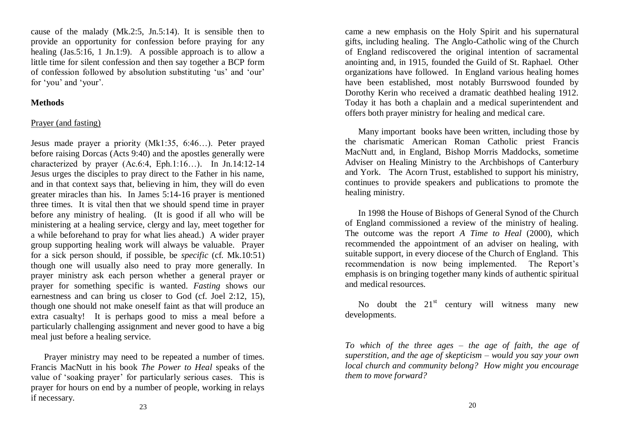cause of the malady (Mk.2:5, Jn.5:14). It is sensible then to provide an opportunity for confession before praying for any healing (Jas. 5:16, 1 Jn. 1:9). A possible approach is to allow a little time for silent confession and then say together a BCP form of confession followed by absolution substituting "us" and "our" for 'you' and 'your'.

#### **Methods**

#### Prayer (and fasting)

Jesus made prayer a priority (Mk1:35, 6:46…). Peter prayed before raising Dorcas (Acts 9:40) and the apostles generally were characterized by prayer (Ac.6:4, Eph.1:16…). In Jn.14:12-14 Jesus urges the disciples to pray direct to the Father in his name, and in that context says that, believing in him, they will do even greater miracles than his. In James 5:14-16 prayer is mentioned three times. It is vital then that we should spend time in prayer before any ministry of healing. (It is good if all who will be ministering at a healing service, clergy and lay, meet together for a while beforehand to pray for what lies ahead.) A wider prayer group supporting healing work will always be valuable. Prayer for a sick person should, if possible, be *specific* (cf. Mk.10:51) though one will usually also need to pray more generally. In prayer ministry ask each person whether a general prayer or prayer for something specific is wanted. *Fasting* shows our earnestness and can bring us closer to God (cf. Joel 2:12, 15), though one should not make oneself faint as that will produce an extra casualty! It is perhaps good to miss a meal before a particularly challenging assignment and never good to have a big meal just before a healing service.

Prayer ministry may need to be repeated a number of times. Francis MacNutt in his book *The Power to Heal* speaks of the value of "soaking prayer" for particularly serious cases. This is prayer for hours on end by a number of people, working in relays if necessary.

came a new emphasis on the Holy Spirit and his supernatural gifts, including healing. The Anglo-Catholic wing of the Church of England rediscovered the original intention of sacramental anointing and, in 1915, founded the Guild of St. Raphael. Other organizations have followed. In England various healing homes have been established, most notably Burrswood founded by Dorothy Kerin who received a dramatic deathbed healing 1912. Today it has both a chaplain and a medical superintendent and offers both prayer ministry for healing and medical care.

Many important books have been written, including those by the charismatic American Roman Catholic priest Francis MacNutt and, in England, Bishop Morris Maddocks, sometime Adviser on Healing Ministry to the Archbishops of Canterbury and York. The Acorn Trust, established to support his ministry, continues to provide speakers and publications to promote the healing ministry.

In 1998 the House of Bishops of General Synod of the Church of England commissioned a review of the ministry of healing. The outcome was the report *A Time to Heal* (2000), which recommended the appointment of an adviser on healing, with suitable support, in every diocese of the Church of England. This recommendation is now being implemented. The Report"s emphasis is on bringing together many kinds of authentic spiritual and medical resources.

No doubt the  $21<sup>st</sup>$  century will witness many new developments.

*To which of the three ages – the age of faith, the age of superstition, and the age of skepticism – would you say your own local church and community belong? How might you encourage them to move forward?*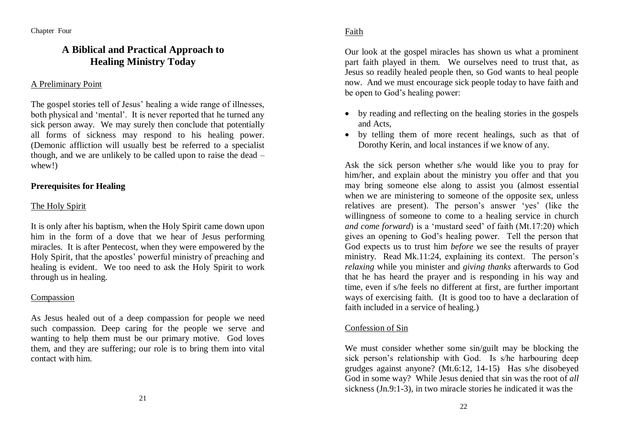# **A Biblical and Practical Approach to Healing Ministry Today**

# A Preliminary Point

The gospel stories tell of Jesus' healing a wide range of illnesses, both physical and "mental". It is never reported that he turned any sick person away. We may surely then conclude that potentially all forms of sickness may respond to his healing power. (Demonic affliction will usually best be referred to a specialist though, and we are unlikely to be called upon to raise the dead – whew!)

# **Prerequisites for Healing**

# The Holy Spirit

It is only after his baptism, when the Holy Spirit came down upon him in the form of a dove that we hear of Jesus performing miracles. It is after Pentecost, when they were empowered by the Holy Spirit, that the apostles" powerful ministry of preaching and healing is evident. We too need to ask the Holy Spirit to work through us in healing.

# Compassion

As Jesus healed out of a deep compassion for people we need such compassion. Deep caring for the people we serve and wanting to help them must be our primary motive. God loves them, and they are suffering; our role is to bring them into vital contact with him.

Our look at the gospel miracles has shown us what a prominent part faith played in them. We ourselves need to trust that, as Jesus so readily healed people then, so God wants to heal people now. And we must encourage sick people today to have faith and be open to God"s healing power:

- by reading and reflecting on the healing stories in the gospels and Acts,
- by telling them of more recent healings, such as that of Dorothy Kerin, and local instances if we know of any.

Ask the sick person whether s/he would like you to pray for him/her, and explain about the ministry you offer and that you may bring someone else along to assist you (almost essential when we are ministering to someone of the opposite sex, unless relatives are present). The person"s answer "yes" (like the willingness of someone to come to a healing service in church *and come forward*) is a 'mustard seed' of faith (Mt.17:20) which gives an opening to God"s healing power. Tell the person that God expects us to trust him *before* we see the results of prayer ministry. Read Mk.11:24, explaining its context. The person's *relaxing* while you minister and *giving thanks* afterwards to God that he has heard the prayer and is responding in his way and time, even if s/he feels no different at first, are further important ways of exercising faith. (It is good too to have a declaration of faith included in a service of healing.)

## Confession of Sin

We must consider whether some sin/guilt may be blocking the sick person's relationship with God. Is s/he harbouring deep grudges against anyone? (Mt.6:12, 14-15) Has s/he disobeyed God in some way? While Jesus denied that sin was the root of *all* sickness (Jn.9:1-3), in two miracle stories he indicated it was the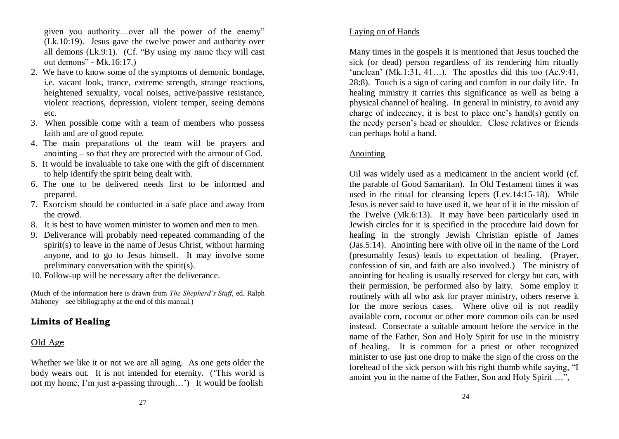given you authority…over all the power of the enemy" (Lk.10:19). Jesus gave the twelve power and authority over all demons (Lk.9:1). (Cf. "By using my name they will cast out demons" - Mk.16:17.)

- 2. We have to know some of the symptoms of demonic bondage, i.e. vacant look, trance, extreme strength, strange reactions, heightened sexuality, vocal noises, active/passive resistance, violent reactions, depression, violent temper, seeing demons etc.
- 3. When possible come with a team of members who possess faith and are of good repute.
- 4. The main preparations of the team will be prayers and anointing – so that they are protected with the armour of God.
- 5. It would be invaluable to take one with the gift of discernment to help identify the spirit being dealt with.
- 6. The one to be delivered needs first to be informed and prepared.
- 7. Exorcism should be conducted in a safe place and away from the crowd.
- 8. It is best to have women minister to women and men to men.
- 9. Deliverance will probably need repeated commanding of the spirit(s) to leave in the name of Jesus Christ, without harming anyone, and to go to Jesus himself. It may involve some preliminary conversation with the spirit(s).
- 10. Follow-up will be necessary after the deliverance.

(Much of the information here is drawn from *The Shepherd's Staff*, ed. Ralph Mahoney – see bibliography at the end of this manual.)

# **Limits of Healing**

# Old Age

Whether we like it or not we are all aging. As one gets older the body wears out. It is not intended for eternity. ("This world is not my home, I'm just a-passing through...') It would be foolish

# Laying on of Hands

Many times in the gospels it is mentioned that Jesus touched the sick (or dead) person regardless of its rendering him ritually 'unclean'  $(Mk.1:31, 41...)$ . The apostles did this too  $(Ac.9:41)$ . 28:8). Touch is a sign of caring and comfort in our daily life. In healing ministry it carries this significance as well as being a physical channel of healing. In general in ministry, to avoid any charge of indecency, it is best to place one"s hand(s) gently on the needy person"s head or shoulder. Close relatives or friends can perhaps hold a hand.

# Anointing

Oil was widely used as a medicament in the ancient world (cf. the parable of Good Samaritan). In Old Testament times it was used in the ritual for cleansing lepers (Lev.14:15-18). While Jesus is never said to have used it, we hear of it in the mission of the Twelve (Mk.6:13). It may have been particularly used in Jewish circles for it is specified in the procedure laid down for healing in the strongly Jewish Christian epistle of James (Jas.5:14). Anointing here with olive oil in the name of the Lord (presumably Jesus) leads to expectation of healing. (Prayer, confession of sin, and faith are also involved.) The ministry of anointing for healing is usually reserved for clergy but can, with their permission, be performed also by laity. Some employ it routinely with all who ask for prayer ministry, others reserve it for the more serious cases. Where olive oil is not readily available corn, coconut or other more common oils can be used instead. Consecrate a suitable amount before the service in the name of the Father, Son and Holy Spirit for use in the ministry of healing. It is common for a priest or other recognized minister to use just one drop to make the sign of the cross on the forehead of the sick person with his right thumb while saying, "I anoint you in the name of the Father, Son and Holy Spirit …",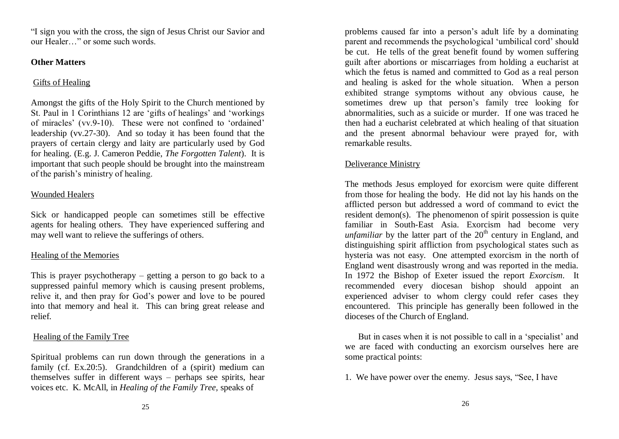"I sign you with the cross, the sign of Jesus Christ our Savior and our Healer…" or some such words.

## **Other Matters**

# Gifts of Healing

Amongst the gifts of the Holy Spirit to the Church mentioned by St. Paul in 1 Corinthians 12 are 'gifts of healings' and 'workings' of miracles" (vv.9-10). These were not confined to "ordained" leadership (vv.27-30). And so today it has been found that the prayers of certain clergy and laity are particularly used by God for healing. (E.g. J. Cameron Peddie, *The Forgotten Talent*). It is important that such people should be brought into the mainstream of the parish"s ministry of healing.

# Wounded Healers

Sick or handicapped people can sometimes still be effective agents for healing others. They have experienced suffering and may well want to relieve the sufferings of others.

# Healing of the Memories

This is prayer psychotherapy – getting a person to go back to a suppressed painful memory which is causing present problems, relive it, and then pray for God"s power and love to be poured into that memory and heal it. This can bring great release and relief.

# Healing of the Family Tree

Spiritual problems can run down through the generations in a family (cf. Ex.20:5). Grandchildren of a (spirit) medium can themselves suffer in different ways – perhaps see spirits, hear voices etc. K. McAll, in *Healing of the Family Tree,* speaks of

problems caused far into a person"s adult life by a dominating parent and recommends the psychological "umbilical cord" should be cut. He tells of the great benefit found by women suffering guilt after abortions or miscarriages from holding a eucharist at which the fetus is named and committed to God as a real person and healing is asked for the whole situation. When a person exhibited strange symptoms without any obvious cause, he sometimes drew up that person"s family tree looking for abnormalities, such as a suicide or murder. If one was traced he then had a eucharist celebrated at which healing of that situation and the present abnormal behaviour were prayed for, with remarkable results.

# Deliverance Ministry

The methods Jesus employed for exorcism were quite different from those for healing the body. He did not lay his hands on the afflicted person but addressed a word of command to evict the resident demon(s). The phenomenon of spirit possession is quite familiar in South-East Asia. Exorcism had become very *unfamiliar* by the latter part of the  $20<sup>th</sup>$  century in England, and distinguishing spirit affliction from psychological states such as hysteria was not easy. One attempted exorcism in the north of England went disastrously wrong and was reported in the media. In 1972 the Bishop of Exeter issued the report *Exorcism*. It recommended every diocesan bishop should appoint an experienced adviser to whom clergy could refer cases they encountered. This principle has generally been followed in the dioceses of the Church of England.

But in cases when it is not possible to call in a 'specialist' and we are faced with conducting an exorcism ourselves here are some practical points:

1. We have power over the enemy. Jesus says, "See, I have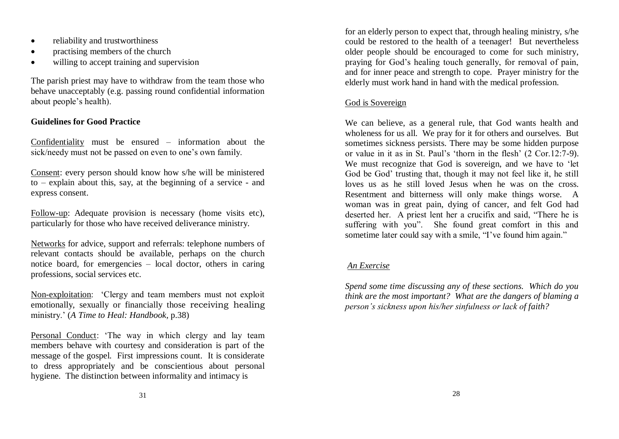- reliability and trustworthiness
- practising members of the church
- willing to accept training and supervision

The parish priest may have to withdraw from the team those who behave unacceptably (e.g. passing round confidential information about people"s health).

## **Guidelines for Good Practice**

Confidentiality must be ensured – information about the sick/needy must not be passed on even to one's own family.

Consent: every person should know how s/he will be ministered to – explain about this, say, at the beginning of a service - and express consent.

Follow-up: Adequate provision is necessary (home visits etc), particularly for those who have received deliverance ministry.

Networks for advice, support and referrals: telephone numbers of relevant contacts should be available, perhaps on the church notice board, for emergencies – local doctor, others in caring professions, social services etc.

Non-exploitation: "Clergy and team members must not exploit emotionally, sexually or financially those receiving healing ministry." (*A Time to Heal: Handbook,* p.38)

Personal Conduct: "The way in which clergy and lay team members behave with courtesy and consideration is part of the message of the gospel. First impressions count. It is considerate to dress appropriately and be conscientious about personal hygiene. The distinction between informality and intimacy is

for an elderly person to expect that, through healing ministry, s/he could be restored to the health of a teenager! But nevertheless older people should be encouraged to come for such ministry, praying for God"s healing touch generally, for removal of pain, and for inner peace and strength to cope. Prayer ministry for the elderly must work hand in hand with the medical profession.

# God is Sovereign

We can believe, as a general rule, that God wants health and wholeness for us all. We pray for it for others and ourselves. But sometimes sickness persists. There may be some hidden purpose or value in it as in St. Paul's 'thorn in the flesh'  $(2 \text{ Cor.}12:7-9)$ . We must recognize that God is sovereign, and we have to "let God be God" trusting that, though it may not feel like it, he still loves us as he still loved Jesus when he was on the cross. Resentment and bitterness will only make things worse. A woman was in great pain, dying of cancer, and felt God had deserted her. A priest lent her a crucifix and said, "There he is suffering with you". She found great comfort in this and sometime later could say with a smile, "I've found him again."

# *An Exercise*

*Spend some time discussing any of these sections. Which do you think are the most important? What are the dangers of blaming a person's sickness upon his/her sinfulness or lack of faith?*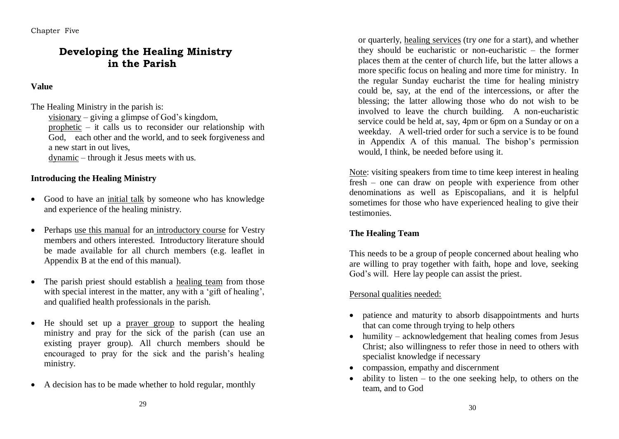Chapter Five

# **Developing the Healing Ministry in the Parish**

## **Value**

The Healing Ministry in the parish is:

visionary – giving a glimpse of God"s kingdom, prophetic – it calls us to reconsider our relationship with God, each other and the world, and to seek forgiveness and a new start in out lives,

dynamic – through it Jesus meets with us.

## **Introducing the Healing Ministry**

- Good to have an initial talk by someone who has knowledge and experience of the healing ministry.
- Perhaps use this manual for an introductory course for Vestry members and others interested. Introductory literature should be made available for all church members (e.g. leaflet in Appendix B at the end of this manual).
- The parish priest should establish a healing team from those with special interest in the matter, any with a 'gift of healing'. and qualified health professionals in the parish.
- He should set up a prayer group to support the healing ministry and pray for the sick of the parish (can use an existing prayer group). All church members should be encouraged to pray for the sick and the parish"s healing ministry.
- A decision has to be made whether to hold regular, monthly

or quarterly, healing services (try *one* for a start), and whether they should be eucharistic or non-eucharistic – the former places them at the center of church life, but the latter allows a more specific focus on healing and more time for ministry. In the regular Sunday eucharist the time for healing ministry could be, say, at the end of the intercessions, or after the blessing; the latter allowing those who do not wish to be involved to leave the church building. A non-eucharistic service could be held at, say, 4pm or 6pm on a Sunday or on a weekday. A well-tried order for such a service is to be found in Appendix A of this manual. The bishop's permission would, I think, be needed before using it.

Note: visiting speakers from time to time keep interest in healing fresh – one can draw on people with experience from other denominations as well as Episcopalians, and it is helpful sometimes for those who have experienced healing to give their testimonies.

# **The Healing Team**

This needs to be a group of people concerned about healing who are willing to pray together with faith, hope and love, seeking God's will. Here lay people can assist the priest.

## Personal qualities needed:

- patience and maturity to absorb disappointments and hurts that can come through trying to help others
- humility acknowledgement that healing comes from Jesus Christ; also willingness to refer those in need to others with specialist knowledge if necessary
- compassion, empathy and discernment
- ability to listen to the one seeking help, to others on the team, and to God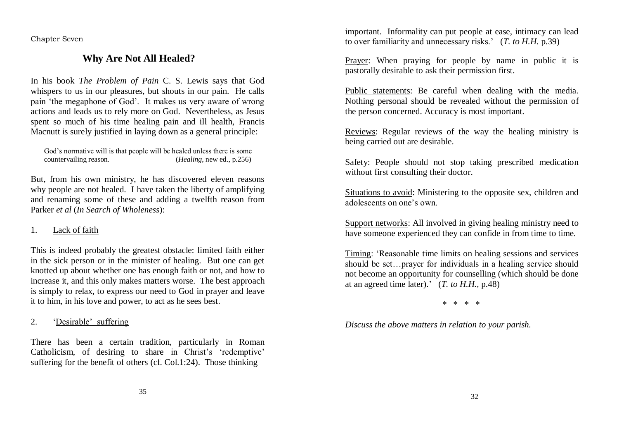Chapter Seven

# **Why Are Not All Healed?**

In his book *The Problem of Pain* C. S. Lewis says that God whispers to us in our pleasures, but shouts in our pain. He calls pain "the megaphone of God". It makes us very aware of wrong actions and leads us to rely more on God. Nevertheless, as Jesus spent so much of his time healing pain and ill health, Francis Macnutt is surely justified in laying down as a general principle:

```
God's normative will is that people will be healed unless there is some countervailing reason. (Healing, new ed., p.256)
                                                      (Healing, new ed., p.256)
```
But, from his own ministry, he has discovered eleven reasons why people are not healed. I have taken the liberty of amplifying and renaming some of these and adding a twelfth reason from Parker *et al* (*In Search of Wholeness*):

#### 1. Lack of faith

This is indeed probably the greatest obstacle: limited faith either in the sick person or in the minister of healing. But one can get knotted up about whether one has enough faith or not, and how to increase it, and this only makes matters worse. The best approach is simply to relax, to express our need to God in prayer and leave it to him, in his love and power, to act as he sees best.

#### 2. "Desirable" suffering

There has been a certain tradition, particularly in Roman Catholicism, of desiring to share in Christ's 'redemptive' suffering for the benefit of others (cf. Col.1:24). Those thinking

important. Informality can put people at ease, intimacy can lead to over familiarity and unnecessary risks." (*T. to H.H.* p.39)

Prayer: When praying for people by name in public it is pastorally desirable to ask their permission first.

Public statements: Be careful when dealing with the media. Nothing personal should be revealed without the permission of the person concerned. Accuracy is most important.

Reviews: Regular reviews of the way the healing ministry is being carried out are desirable.

Safety: People should not stop taking prescribed medication without first consulting their doctor.

Situations to avoid: Ministering to the opposite sex, children and adolescents on one"s own.

Support networks: All involved in giving healing ministry need to have someone experienced they can confide in from time to time.

Timing: "Reasonable time limits on healing sessions and services should be set…prayer for individuals in a healing service should not become an opportunity for counselling (which should be done at an agreed time later)." (*T. to H.H.,* p.48)

\* \* \* \*

*Discuss the above matters in relation to your parish.*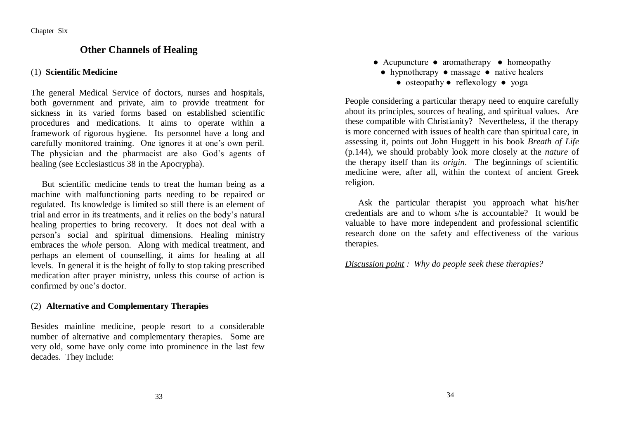# **Other Channels of Healing**

#### (1) **Scientific Medicine**

The general Medical Service of doctors, nurses and hospitals, both government and private, aim to provide treatment for sickness in its varied forms based on established scientific procedures and medications. It aims to operate within a framework of rigorous hygiene. Its personnel have a long and carefully monitored training. One ignores it at one"s own peril. The physician and the pharmacist are also God"s agents of healing (see Ecclesiasticus 38 in the Apocrypha).

 But scientific medicine tends to treat the human being as a machine with malfunctioning parts needing to be repaired or regulated. Its knowledge is limited so still there is an element of trial and error in its treatments, and it relies on the body"s natural healing properties to bring recovery. It does not deal with a person"s social and spiritual dimensions. Healing ministry embraces the *whole* person. Along with medical treatment, and perhaps an element of counselling, it aims for healing at all levels. In general it is the height of folly to stop taking prescribed medication after prayer ministry, unless this course of action is confirmed by one"s doctor.

#### (2) **Alternative and Complementary Therapies**

Besides mainline medicine, people resort to a considerable number of alternative and complementary therapies. Some are very old, some have only come into prominence in the last few decades. They include:

- Acupuncture aromatherapy homeopathy
	- hypnotherapy massage native healers
		- osteopathy reflexology yoga

People considering a particular therapy need to enquire carefully about its principles, sources of healing, and spiritual values. Are these compatible with Christianity? Nevertheless, if the therapy is more concerned with issues of health care than spiritual care, in assessing it, points out John Huggett in his book *Breath of Life* (p.144), we should probably look more closely at the *nature* of the therapy itself than its *origin*. The beginnings of scientific medicine were, after all, within the context of ancient Greek religion.

Ask the particular therapist you approach what his/her credentials are and to whom s/he is accountable? It would be valuable to have more independent and professional scientific research done on the safety and effectiveness of the various therapies.

*Discussion point : Why do people seek these therapies?*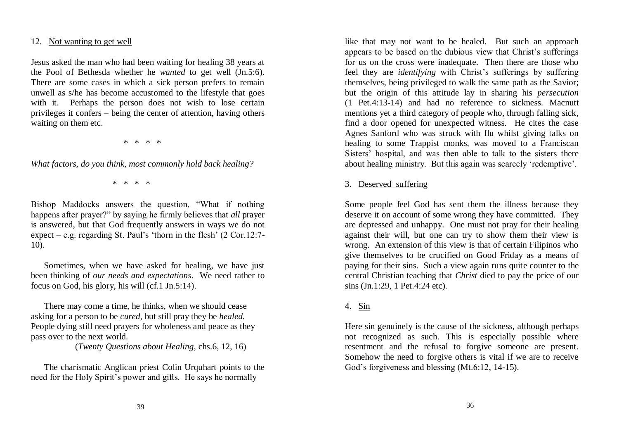#### 12. Not wanting to get well

Jesus asked the man who had been waiting for healing 38 years at the Pool of Bethesda whether he *wanted* to get well (Jn.5:6). There are some cases in which a sick person prefers to remain unwell as s/he has become accustomed to the lifestyle that goes with it. Perhaps the person does not wish to lose certain privileges it confers – being the center of attention, having others waiting on them etc.

\* \* \* \*

*What factors, do you think, most commonly hold back healing?*

\* \* \* \*

Bishop Maddocks answers the question, "What if nothing happens after prayer?" by saying he firmly believes that *all* prayer is answered, but that God frequently answers in ways we do not expect – e.g. regarding St. Paul's 'thorn in the flesh'  $(2 \text{ Cor.}12:7-)$ 10).

 Sometimes, when we have asked for healing, we have just been thinking of *our needs and expectations*. We need rather to focus on God, his glory, his will (cf.1 Jn.5:14).

There may come a time, he thinks, when we should cease asking for a person to be *cured,* but still pray they be *healed.*  People dying still need prayers for wholeness and peace as they pass over to the next world.

(*Twenty Questions about Healing,* chs.6, 12, 16)

The charismatic Anglican priest Colin Urquhart points to the need for the Holy Spirit's power and gifts. He says he normally

like that may not want to be healed. But such an approach appears to be based on the dubious view that Christ's sufferings for us on the cross were inadequate. Then there are those who feel they are *identifying* with Christ's sufferings by suffering themselves, being privileged to walk the same path as the Savior; but the origin of this attitude lay in sharing his *persecution* (1 Pet.4:13-14) and had no reference to sickness. Macnutt mentions yet a third category of people who, through falling sick, find a door opened for unexpected witness. He cites the case Agnes Sanford who was struck with flu whilst giving talks on healing to some Trappist monks, was moved to a Franciscan Sisters' hospital, and was then able to talk to the sisters there about healing ministry. But this again was scarcely "redemptive".

#### 3. Deserved suffering

Some people feel God has sent them the illness because they deserve it on account of some wrong they have committed. They are depressed and unhappy. One must not pray for their healing against their will, but one can try to show them their view is wrong. An extension of this view is that of certain Filipinos who give themselves to be crucified on Good Friday as a means of paying for their sins. Such a view again runs quite counter to the central Christian teaching that *Christ* died to pay the price of our sins (Jn.1:29, 1 Pet.4:24 etc).

## 4. Sin

Here sin genuinely is the cause of the sickness, although perhaps not recognized as such. This is especially possible where resentment and the refusal to forgive someone are present. Somehow the need to forgive others is vital if we are to receive God's forgiveness and blessing (Mt.6:12, 14-15).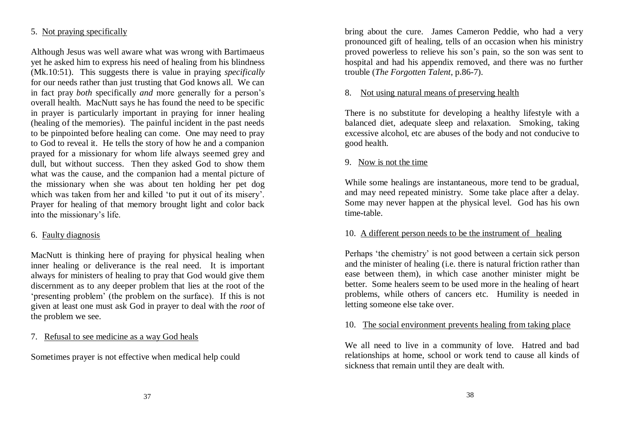#### 5. Not praying specifically

Although Jesus was well aware what was wrong with Bartimaeus yet he asked him to express his need of healing from his blindness (Mk.10:51). This suggests there is value in praying *specifically* for our needs rather than just trusting that God knows all. We can in fact pray *both* specifically *and* more generally for a person"s overall health. MacNutt says he has found the need to be specific in prayer is particularly important in praying for inner healing (healing of the memories). The painful incident in the past needs to be pinpointed before healing can come. One may need to pray to God to reveal it. He tells the story of how he and a companion prayed for a missionary for whom life always seemed grey and dull, but without success. Then they asked God to show them what was the cause, and the companion had a mental picture of the missionary when she was about ten holding her pet dog which was taken from her and killed 'to put it out of its misery'. Prayer for healing of that memory brought light and color back into the missionary"s life.

## 6. Faulty diagnosis

MacNutt is thinking here of praying for physical healing when inner healing or deliverance is the real need. It is important always for ministers of healing to pray that God would give them discernment as to any deeper problem that lies at the root of the "presenting problem" (the problem on the surface). If this is not given at least one must ask God in prayer to deal with the *root* of the problem we see.

7. Refusal to see medicine as a way God heals

Sometimes prayer is not effective when medical help could

bring about the cure. James Cameron Peddie, who had a very pronounced gift of healing, tells of an occasion when his ministry proved powerless to relieve his son"s pain, so the son was sent to hospital and had his appendix removed, and there was no further trouble (*The Forgotten Talent*, p.86-7).

#### 8. Not using natural means of preserving health

There is no substitute for developing a healthy lifestyle with a balanced diet, adequate sleep and relaxation. Smoking, taking excessive alcohol, etc are abuses of the body and not conducive to good health.

## 9. Now is not the time

While some healings are instantaneous, more tend to be gradual, and may need repeated ministry. Some take place after a delay. Some may never happen at the physical level. God has his own time-table.

#### 10. A different person needs to be the instrument of healing

Perhaps 'the chemistry' is not good between a certain sick person and the minister of healing (i.e. there is natural friction rather than ease between them), in which case another minister might be better. Some healers seem to be used more in the healing of heart problems, while others of cancers etc. Humility is needed in letting someone else take over.

#### 10. The social environment prevents healing from taking place

We all need to live in a community of love. Hatred and bad relationships at home, school or work tend to cause all kinds of sickness that remain until they are dealt with.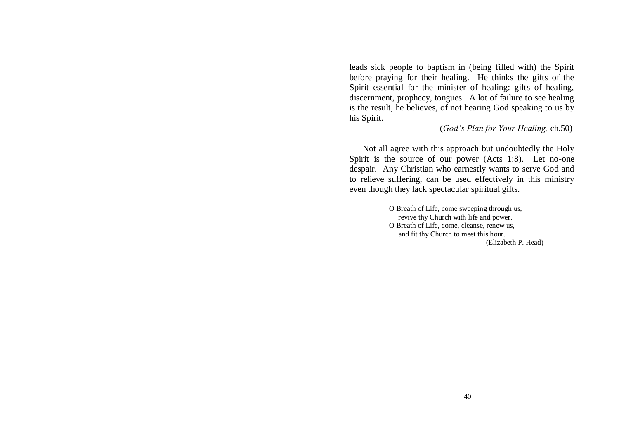leads sick people to baptism in (being filled with) the Spirit before praying for their healing. He thinks the gifts of the Spirit essential for the minister of healing: gifts of healing, discernment, prophecy, tongues. A lot of failure to see healing is the result, he believes, of not hearing God speaking to us by his Spirit.

(*God's Plan for Your Healing,* ch.50)

Not all agree with this approach but undoubtedly the Holy Spirit is the source of our power (Acts 1:8). Let no-one despair. Any Christian who earnestly wants to serve God and to relieve suffering, can be used effectively in this ministry even though they lack spectacular spiritual gifts.

> O Breath of Life, come sweeping through us, revive thy Church with life and power. O Breath of Life, come, cleanse, renew us, and fit thy Church to meet this hour. (Elizabeth P. Head)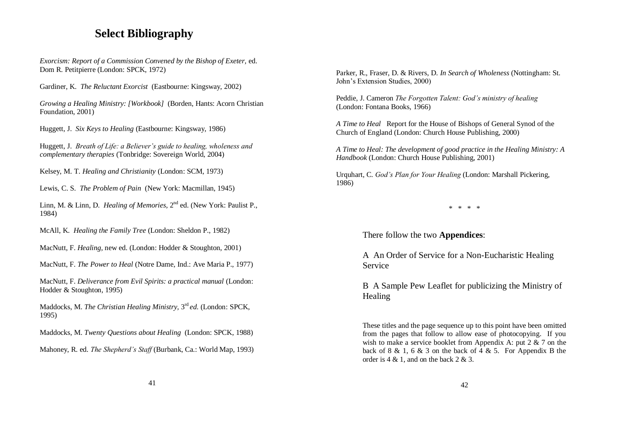# **Select Bibliography**

*Exorcism: Report of a Commission Convened by the Bishop of Exeter,* ed. Dom R. Petitpierre (London: SPCK, 1972)

Gardiner, K. *The Reluctant Exorcist* (Eastbourne: Kingsway, 2002)

*Growing a Healing Ministry: [Workbook]* (Borden, Hants: Acorn Christian Foundation, 2001)

Huggett, J. *Six Keys to Healing* (Eastbourne: Kingsway, 1986)

Huggett, J. *Breath of Life: a Believer's guide to healing, wholeness and complementary therapies* (Tonbridge: Sovereign World, 2004)

Kelsey, M. T. *Healing and Christianity* (London: SCM, 1973)

Lewis, C. S. *The Problem of Pain* (New York: Macmillan, 1945)

Linn, M. & Linn, D. *Healing of Memories*, 2<sup>nd</sup> ed. (New York: Paulist P., 1984)

McAll, K. *Healing the Family Tree* (London: Sheldon P., 1982)

MacNutt, F. *Healing,* new ed. (London: Hodder & Stoughton, 2001)

MacNutt, F. *The Power to Heal* (Notre Dame, Ind.: Ave Maria P., 1977)

MacNutt, F. *Deliverance from Evil Spirits: a practical manual* (London: Hodder & Stoughton, 1995)

Maddocks, M. *The Christian Healing Ministry,* 3 rd *ed.* (London: SPCK, 1995)

Maddocks, M. *Twenty Questions about Healing* (London: SPCK, 1988)

Mahoney, R. ed. *The Shepherd's Staff* (Burbank, Ca.: World Map, 1993)

Parker, R., Fraser, D. & Rivers, D. *In Search of Wholeness* (Nottingham: St. John"s Extension Studies, 2000)

Peddie, J. Cameron *The Forgotten Talent: God's ministry of healing*  (London: Fontana Books, 1966)

*A Time to Heal* Report for the House of Bishops of General Synod of the Church of England (London: Church House Publishing, 2000)

*A Time to Heal: The development of good practice in the Healing Ministry: A Handbook* (London: Church House Publishing, 2001)

Urquhart, C. *God's Plan for Your Healing* (London: Marshall Pickering, 1986)

\* \* \* \*

There follow the two **Appendices**:

A An Order of Service for a Non-Eucharistic Healing Service

B A Sample Pew Leaflet for publicizing the Ministry of Healing

These titles and the page sequence up to this point have been omitted from the pages that follow to allow ease of photocopying. If you wish to make a service booklet from Appendix A: put 2 & 7 on the back of 8 & 1, 6 & 3 on the back of 4 & 5. For Appendix B the order is 4 & 1, and on the back 2 & 3.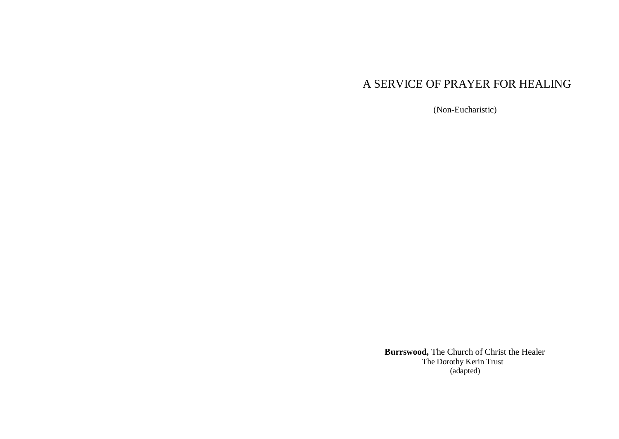# A SERVICE OF PRAYER FOR HEALING

(Non-Eucharistic)

 **Burrswood,** The Church of Christ the Healer The Dorothy Kerin Trust (adapted)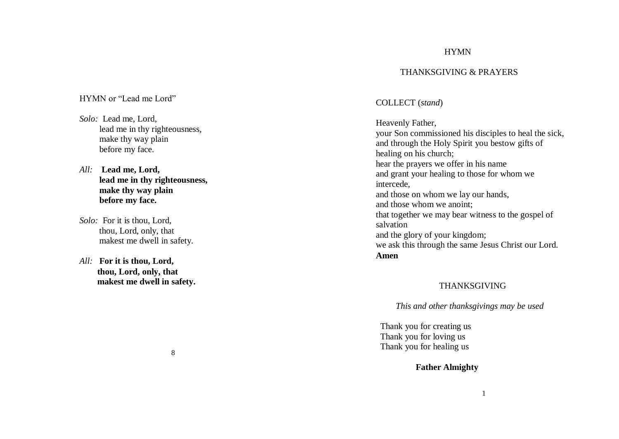#### HYMN

#### THANKSGIVING & PRAYERS

#### HYMN or "Lead me Lord"

- *Solo:* Lead me, Lord, lead me in thy righteousness, make thy way plain before my face.
- *All:* **Lead me, Lord, lead me in thy righteousness, make thy way plain before my face.**
- *Solo:* For it is thou, Lord, thou, Lord, only, that makest me dwell in safety.
- *All:* **For it is thou, Lord, thou, Lord, only, that makest me dwell in safety.**

#### COLLECT (*stand* )

Heavenly Father, your Son commissioned his disciples to heal the sick, and through the Holy Spirit you bestow gifts of healing on his church; hear the prayers we offer in his name and grant your healing to those for whom we intercede , and those on whom we lay our hands , and those whom we anoint; that together we may bear witness to the gospel of salvation and the glory of your kingdom; we ask this through the same Jesus Christ our Lord. **Amen**

#### THANKSGIVING

 *This and other thanksgivings may be used*

Thank you for creating us Thank you for loving us Thank you for healing us

**Father Almighty**

#### 8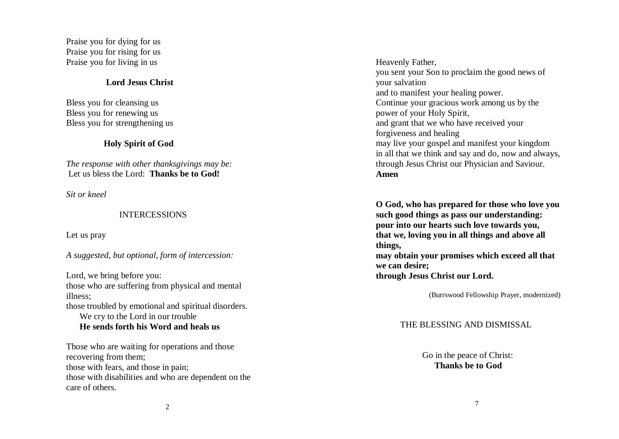Praise you for dying for us Praise you for rising for us Praise you for living in us

#### **Lord Jesus Christ**

Bless you for cleansing us Bless you for renewing us Bless you for strengthening us

#### **Holy Spirit of God**

*The response with other thanksgivings may be:* Let us bless the Lord: **Thanks be to God!**

*Sit or kneel*

#### INTERCESSIONS

Let us pray

*A suggested, but optional, form of intercession:*

Lord, we bring before you: those who are suffering from physical and mental illness; those troubled by emotional and spiritual disorders. We cry to the Lord in our trouble **He sends forth his Word and heals us** 

Those who are waiting for operations and those recovering from them; those with fears, and those in pain; those with disabilities and who are dependent on the care of others.

Heavenly Father, you sent your Son to proclaim the good news of your salvation and to manifest your healing power. Continue your gracious work among us by the power of your Holy Spirit, and grant that we who have received your forgiveness and healing may live your gospel and manifest your kingdom in all that we think and say and do, now and always, through Jesus Christ our Physician and Saviour. **Amen**

**O God, who has prepared for those who love you such good things as pass our understanding: pour into our hearts such love towards you, that we, loving you in all things and above all things, may obtain your promises which exceed all that we can desire; through Jesus Christ our Lord.**

(Burrswood Fellowship Prayer, modernized)

#### THE BLESSING AND DISMISSAL

 Go in the peace of Christ: **Thanks be to God**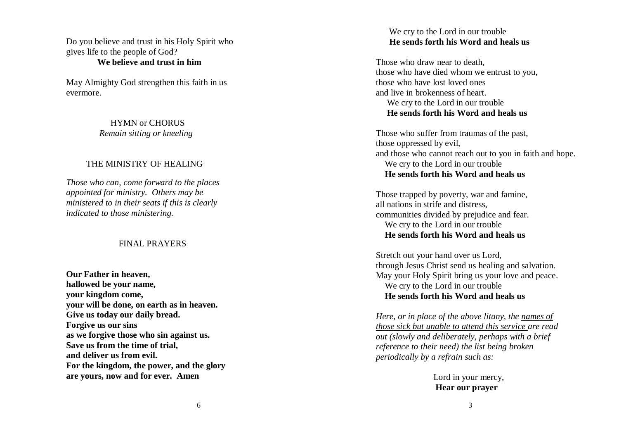Do you believe and trust in his Holy Spirit who gives life to the people of God?  **We believe and trust in him**

May Almighty God strengthen this faith in us evermore.

#### HYMN or CHORUS  *Remain sitting or kneeling*

#### THE MINISTRY OF HEALING

*Those who can , come forward to the places appointed for ministry. Others may be ministered to in their seats if this is clearly indicated to those ministering.*

#### FINAL PRAYERS

**Our Father in heaven, hallowed be your name, your kingdom come, your will be done, on earth as in heaven. Give us today our daily bread. Forgive us our sins as we forgive those who sin against us. Save us from the time of trial, and deliver us from evil. For the kingdom, the power, and the glory are yours, now and for ever. Amen**

#### We cry to the Lord in our trouble  **He sends forth his Word and heals us**

Those who draw near to death, those who have died whom we entrust to you, those who have lost loved ones and live in brokenness of heart. We cry to the Lord in our trouble  **He sends forth his Word and heals us**

Those who suffer from traumas of the past, those oppressed by evil, and those who cannot reach out to you in faith and hope. We cry to the Lord in our trouble  **He sends forth his Word and heals us**

Those trapped by poverty, war and famine, all nations in strife and distress, communities divided by prejudice and fear. We cry to the Lord in our trouble  **He sends forth his Word and heals us**

Stretch out your hand over us Lord, through Jesus Christ send us healing and salvation. May your Holy Spirit bring us your love and peace. We cry to the Lord in our trouble  **He sends forth his Word and heals us**

*Here, or in place of the above litany, the names of those sick but unable to attend this service are read out (slowly and deliberately, perhaps with a brief reference to their need) the list being broken periodically by a refrain such as:* 

> Lord in your mercy,  **Hear our prayer**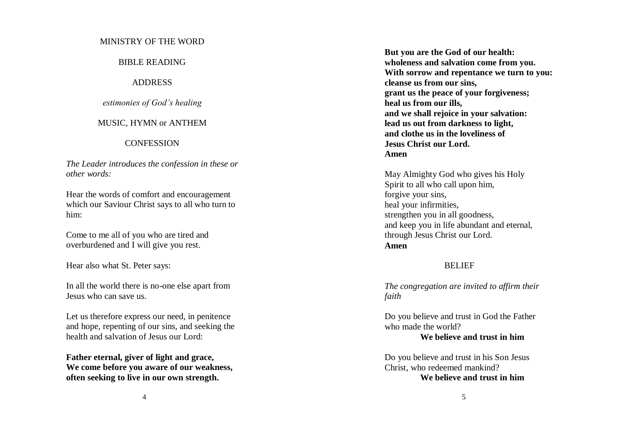#### MINISTRY OF THE WORD

#### BIBLE READING

#### ADDRESS

#### *estimonies of God's healing*

#### MUSIC, HYMN or ANTHEM

#### **CONFESSION**

*The Leader introduces the confession in these or other words:*

Hear the words of comfort and encouragement which our Saviour Christ says to all who turn to him:

Come to me all of you who are tired and overburdened and I will give you rest.

Hear also what St. Peter says:

In all the world there is no-one else apart from Jesus who can save us.

Let us therefore express our need, in penitence and hope, repenting of our sins, and seeking the health and salvation of Jesus our Lord:

**Father eternal, giver of light and grace, We come before you aware of our weakness, often seeking to live in our own strength.**

**But you are the God of our health: wholeness and salvation come from you. With sorrow and repentance we turn to you: cleanse us from our sins, grant us the peace of your forgiveness; heal us from our ills, and we shall rejoice in your salvation: lead us out from darkness to light, and clothe us in the loveliness of Jesus Christ our Lord. Amen**

May Almighty God who gives his Holy Spirit to all who call upon him, forgive your sins, heal your infirmities, strengthen you in all goodness, and keep you in life abundant and eternal, through Jesus Christ our Lord. **Amen**

#### BELIEF

*The congregation are invited to affirm their faith* 

Do you believe and trust in God the Father who made the world? **We believe and trust in him**

Do you believe and trust in his Son Jesus Christ, who redeemed mankind?

#### **We believe and trust in him**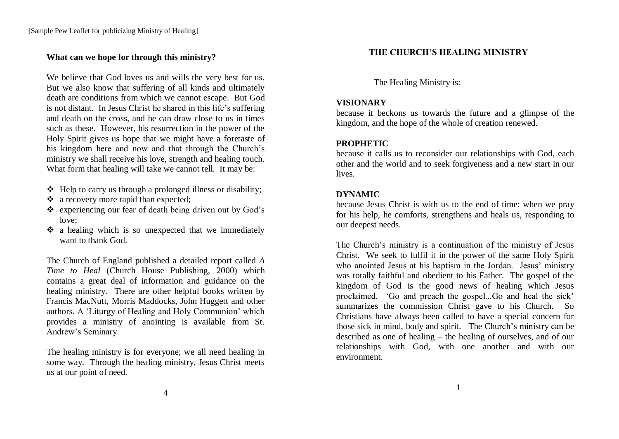#### **What can we hope for through this ministry?**

We believe that God loves us and wills the very best for us. But we also know that suffering of all kinds and ultimately death are conditions from which we cannot escape. But God is not distant. In Jesus Christ he shared in this life"s suffering and death on the cross, and he can draw close to us in times such as these. However, his resurrection in the power of the Holy Spirit gives us hope that we might have a foretaste of his kingdom here and now and that through the Church"s ministry we shall receive his love, strength and healing touch. What form that healing will take we cannot tell. It may be:

- $\triangleleft$  Help to carry us through a prolonged illness or disability;
- a recovery more rapid than expected:
- $\triangle$  experiencing our fear of death being driven out by God's love;
- $\cdot$  a healing which is so unexpected that we immediately want to thank God.

The Church of England published a detailed report called *A Time to Heal* (Church House Publishing, 2000) which contains a great deal of information and guidance on the healing ministry. There are other helpful books written by Francis MacNutt, Morris Maddocks, John Huggett and other authors. A "Liturgy of Healing and Holy Communion" which provides a ministry of anointing is available from St. Andrew"s Seminary.

The healing ministry is for everyone; we all need healing in some way. Through the healing ministry, Jesus Christ meets us at our point of need.

# **THE CHURCH'S HEALING MINISTRY**

The Healing Ministry is:

#### **VISIONARY**

because it beckons us towards the future and a glimpse of the kingdom, and the hope of the whole of creation renewed.

# **PROPHETIC**

because it calls us to reconsider our relationships with God, each other and the world and to seek forgiveness and a new start in our lives.

#### **DYNAMIC**

because Jesus Christ is with us to the end of time: when we pray for his help, he comforts, strengthens and heals us, responding to our deepest needs.

The Church"s ministry is a continuation of the ministry of Jesus Christ. We seek to fulfil it in the power of the same Holy Spirit who anointed Jesus at his baptism in the Jordan. Jesus' ministry was totally faithful and obedient to his Father. The gospel of the kingdom of God is the good news of healing which Jesus proclaimed. "Go and preach the gospel...Go and heal the sick" summarizes the commission Christ gave to his Church. So Christians have always been called to have a special concern for those sick in mind, body and spirit. The Church's ministry can be described as one of healing – the healing of ourselves, and of our relationships with God, with one another and with our environment.